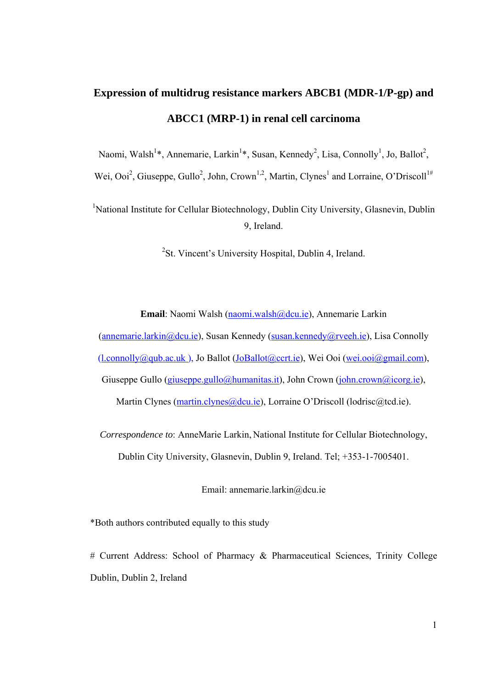# **Expression of multidrug resistance markers ABCB1 (MDR-1/P-gp) and ABCC1 (MRP-1) in renal cell carcinoma**

Naomi, Walsh<sup>1\*</sup>, Annemarie, Larkin<sup>1\*</sup>, Susan, Kennedy<sup>2</sup>, Lisa, Connolly<sup>1</sup>, Jo, Ballot<sup>2</sup>,

Wei, Ooi<sup>2</sup>, Giuseppe, Gullo<sup>2</sup>, John, Crown<sup>1,2</sup>, Martin, Clynes<sup>1</sup> and Lorraine, O'Driscoll<sup>1#</sup>

<sup>1</sup>National Institute for Cellular Biotechnology, Dublin City University, Glasnevin, Dublin 9, Ireland.

<sup>2</sup>St. Vincent's University Hospital, Dublin 4, Ireland.

**Email**: Naomi Walsh (naomi.walsh@dcu.ie), Annemarie Larkin

(annemarie.larkin@dcu.ie), Susan Kennedy (susan.kennedy@rveeh.ie), Lisa Connolly (l.connolly@qub.ac.uk ), Jo Ballot (JoBallot@ccrt.ie), Wei Ooi (wei.ooi@gmail.com), Giuseppe Gullo (giuseppe.gullo@humanitas.it), John Crown (john.crown@icorg.ie), Martin Clynes (martin.clynes@dcu.ie), Lorraine O'Driscoll (lodrisc@tcd.ie).

*Correspondence to*: AnneMarie Larkin, National Institute for Cellular Biotechnology, Dublin City University, Glasnevin, Dublin 9, Ireland. Tel; +353-1-7005401.

Email: annemarie.larkin@dcu.ie

\*Both authors contributed equally to this study

# Current Address: School of Pharmacy & Pharmaceutical Sciences, Trinity College Dublin, Dublin 2, Ireland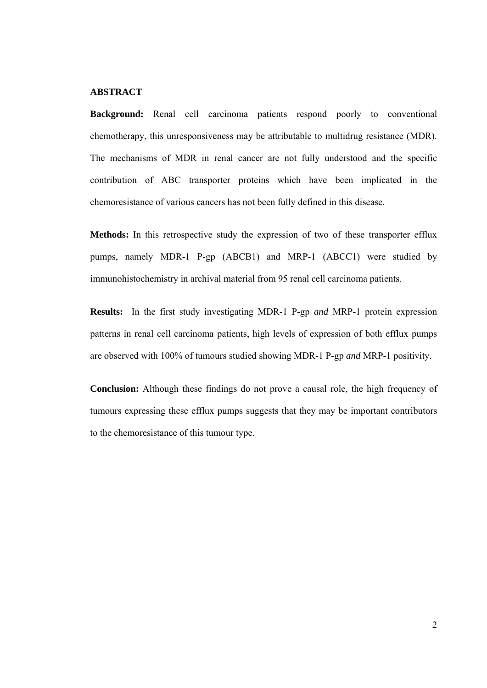# **ABSTRACT**

**Background:** Renal cell carcinoma patients respond poorly to conventional chemotherapy, this unresponsiveness may be attributable to multidrug resistance (MDR). The mechanisms of MDR in renal cancer are not fully understood and the specific contribution of ABC transporter proteins which have been implicated in the chemoresistance of various cancers has not been fully defined in this disease.

**Methods:** In this retrospective study the expression of two of these transporter efflux pumps, namely MDR-1 P-gp (ABCB1) and MRP-1 (ABCC1) were studied by immunohistochemistry in archival material from 95 renal cell carcinoma patients.

**Results:** In the first study investigating MDR-1 P-gp *and* MRP-1 protein expression patterns in renal cell carcinoma patients, high levels of expression of both efflux pumps are observed with 100% of tumours studied showing MDR-1 P-gp *and* MRP-1 positivity.

**Conclusion:** Although these findings do not prove a causal role, the high frequency of tumours expressing these efflux pumps suggests that they may be important contributors to the chemoresistance of this tumour type.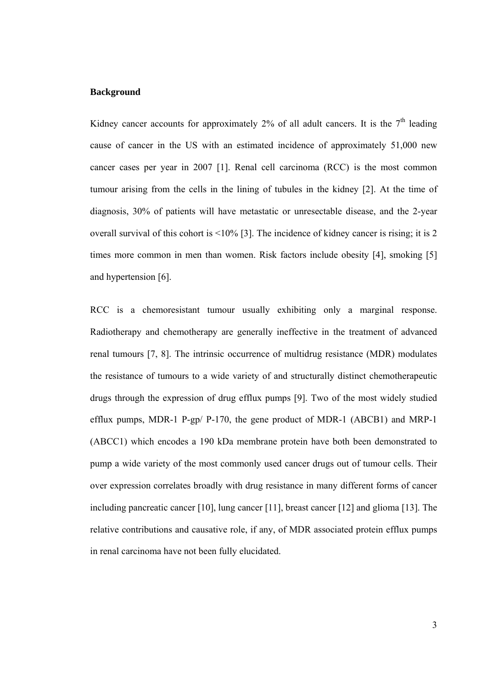#### **Background**

Kidney cancer accounts for approximately  $2\%$  of all adult cancers. It is the  $7<sup>th</sup>$  leading cause of cancer in the US with an estimated incidence of approximately 51,000 new cancer cases per year in 2007 [1]. Renal cell carcinoma (RCC) is the most common tumour arising from the cells in the lining of tubules in the kidney [2]. At the time of diagnosis, 30% of patients will have metastatic or unresectable disease, and the 2-year overall survival of this cohort is <10% [3]. The incidence of kidney cancer is rising; it is 2 times more common in men than women. Risk factors include obesity [4], smoking [5] and hypertension [6].

RCC is a chemoresistant tumour usually exhibiting only a marginal response. Radiotherapy and chemotherapy are generally ineffective in the treatment of advanced renal tumours [7, 8]. The intrinsic occurrence of multidrug resistance (MDR) modulates the resistance of tumours to a wide variety of and structurally distinct chemotherapeutic drugs through the expression of drug efflux pumps [9]. Two of the most widely studied efflux pumps, MDR-1 P-gp/ P-170, the gene product of MDR-1 (ABCB1) and MRP-1 (ABCC1) which encodes a 190 kDa membrane protein have both been demonstrated to pump a wide variety of the most commonly used cancer drugs out of tumour cells. Their over expression correlates broadly with drug resistance in many different forms of cancer including pancreatic cancer [10], lung cancer [11], breast cancer [12] and glioma [13]. The relative contributions and causative role, if any, of MDR associated protein efflux pumps in renal carcinoma have not been fully elucidated.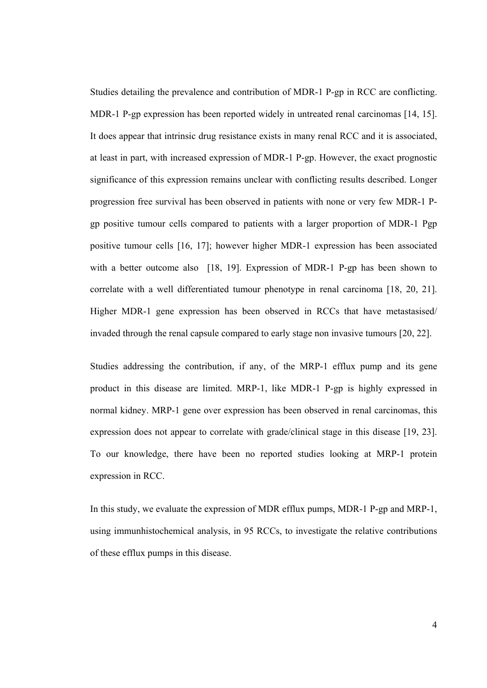Studies detailing the prevalence and contribution of MDR-1 P-gp in RCC are conflicting. MDR-1 P-gp expression has been reported widely in untreated renal carcinomas [14, 15]. It does appear that intrinsic drug resistance exists in many renal RCC and it is associated, at least in part, with increased expression of MDR-1 P-gp. However, the exact prognostic significance of this expression remains unclear with conflicting results described. Longer progression free survival has been observed in patients with none or very few MDR-1 Pgp positive tumour cells compared to patients with a larger proportion of MDR-1 Pgp positive tumour cells [16, 17]; however higher MDR-1 expression has been associated with a better outcome also [18, 19]. Expression of MDR-1 P-gp has been shown to correlate with a well differentiated tumour phenotype in renal carcinoma [18, 20, 21]. Higher MDR-1 gene expression has been observed in RCCs that have metastasised/ invaded through the renal capsule compared to early stage non invasive tumours [20, 22].

Studies addressing the contribution, if any, of the MRP-1 efflux pump and its gene product in this disease are limited. MRP-1, like MDR-1 P-gp is highly expressed in normal kidney. MRP-1 gene over expression has been observed in renal carcinomas, this expression does not appear to correlate with grade/clinical stage in this disease [19, 23]. To our knowledge, there have been no reported studies looking at MRP-1 protein expression in RCC.

In this study, we evaluate the expression of MDR efflux pumps, MDR-1 P-gp and MRP-1, using immunhistochemical analysis, in 95 RCCs, to investigate the relative contributions of these efflux pumps in this disease.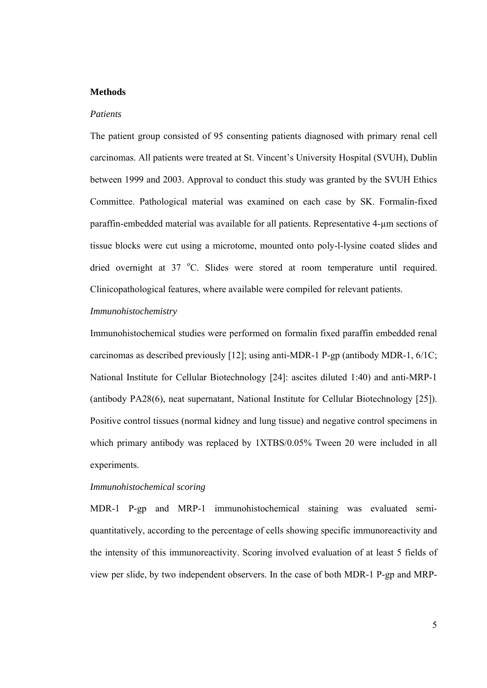#### **Methods**

#### *Patients*

The patient group consisted of 95 consenting patients diagnosed with primary renal cell carcinomas. All patients were treated at St. Vincent's University Hospital (SVUH), Dublin between 1999 and 2003. Approval to conduct this study was granted by the SVUH Ethics Committee. Pathological material was examined on each case by SK. Formalin-fixed paraffin-embedded material was available for all patients. Representative 4-µm sections of tissue blocks were cut using a microtome, mounted onto poly-l-lysine coated slides and dried overnight at 37 °C. Slides were stored at room temperature until required. Clinicopathological features, where available were compiled for relevant patients.

### *Immunohistochemistry*

Immunohistochemical studies were performed on formalin fixed paraffin embedded renal carcinomas as described previously [12]; using anti-MDR-1 P-gp (antibody MDR-1,  $6/1C$ ; National Institute for Cellular Biotechnology [24]: ascites diluted 1:40) and anti-MRP-1 (antibody PA28(6), neat supernatant, National Institute for Cellular Biotechnology [25]). Positive control tissues (normal kidney and lung tissue) and negative control specimens in which primary antibody was replaced by  $1XTBS/0.05\%$  Tween 20 were included in all experiments.

## *Immunohistochemical scoring*

MDR-1 P-gp and MRP-1 immunohistochemical staining was evaluated semiquantitatively, according to the percentage of cells showing specific immunoreactivity and the intensity of this immunoreactivity. Scoring involved evaluation of at least 5 fields of view per slide, by two independent observers. In the case of both MDR-1 P-gp and MRP-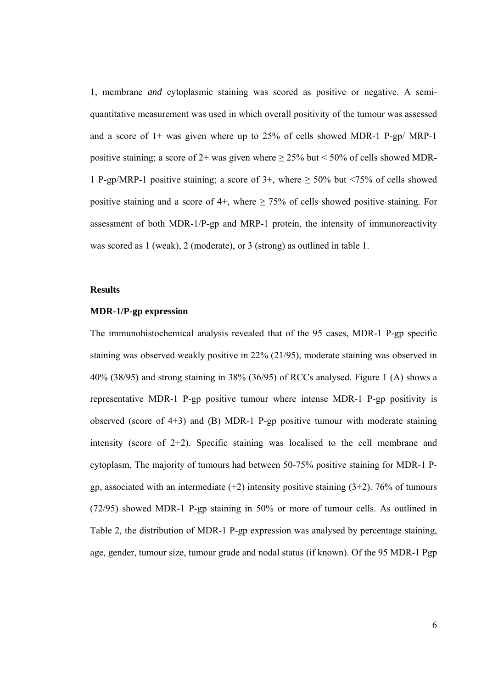1, membrane *and* cytoplasmic staining was scored as positive or negative. A semiquantitative measurement was used in which overall positivity of the tumour was assessed and a score of 1+ was given where up to 25% of cells showed MDR-1 P-gp/ MRP-1 positive staining; a score of  $2+$  was given where  $\geq 25\%$  but < 50% of cells showed MDR-1 P-gp/MRP-1 positive staining; a score of  $3+$ , where  $\geq 50\%$  but <75% of cells showed positive staining and a score of 4+, where  $\geq$  75% of cells showed positive staining. For assessment of both MDR-1/P-gp and MRP-1 protein, the intensity of immunoreactivity was scored as 1 (weak), 2 (moderate), or 3 (strong) as outlined in table 1.

## **Results**

#### **MDR-1/P-gp expression**

The immunohistochemical analysis revealed that of the 95 cases, MDR-1 P-gp specific staining was observed weakly positive in 22% (21/95), moderate staining was observed in 40% (38/95) and strong staining in 38% (36/95) of RCCs analysed. Figure 1 (A) shows a representative MDR-1 P-gp positive tumour where intense MDR-1 P-gp positivity is observed (score of 4+3) and (B) MDR-1 P-gp positive tumour with moderate staining intensity (score of  $2+2$ ). Specific staining was localised to the cell membrane and cytoplasm. The majority of tumours had between 50-75% positive staining for MDR-1 Pgp, associated with an intermediate  $(+2)$  intensity positive staining  $(3+2)$ . 76% of tumours (72/95) showed MDR-1 P-gp staining in 50% or more of tumour cells. As outlined in Table 2, the distribution of MDR-1 P-gp expression was analysed by percentage staining, age, gender, tumour size, tumour grade and nodal status (if known). Of the 95 MDR-1 Pgp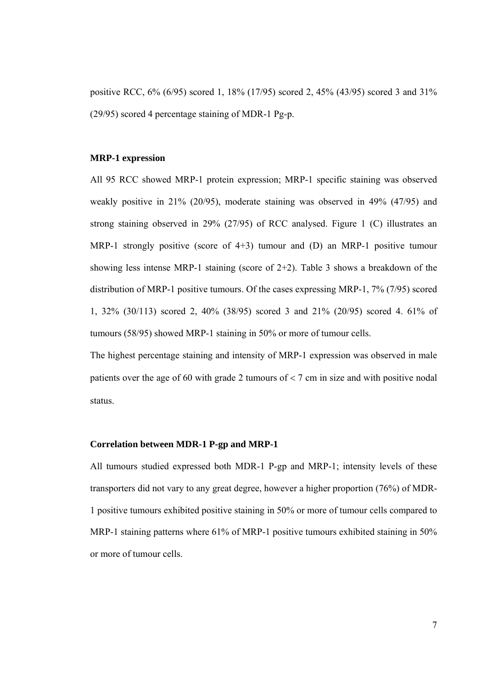positive RCC, 6% (6/95) scored 1, 18% (17/95) scored 2, 45% (43/95) scored 3 and 31% (29/95) scored 4 percentage staining of MDR-1 Pg-p.

## **MRP-1 expression**

All 95 RCC showed MRP-1 protein expression; MRP-1 specific staining was observed weakly positive in 21% (20/95), moderate staining was observed in 49% (47/95) and strong staining observed in 29% (27/95) of RCC analysed. Figure 1 (C) illustrates an MRP-1 strongly positive (score of 4+3) tumour and (D) an MRP-1 positive tumour showing less intense MRP-1 staining (score of 2+2). Table 3 shows a breakdown of the distribution of MRP-1 positive tumours. Of the cases expressing MRP-1, 7% (7/95) scored 1, 32% (30/113) scored 2, 40% (38/95) scored 3 and 21% (20/95) scored 4. 61% of tumours (58/95) showed MRP-1 staining in 50% or more of tumour cells.

The highest percentage staining and intensity of MRP-1 expression was observed in male patients over the age of 60 with grade 2 tumours of < 7 cm in size and with positive nodal status.

## **Correlation between MDR-1 P-gp and MRP-1**

All tumours studied expressed both MDR-1 P-gp and MRP-1; intensity levels of these transporters did not vary to any great degree, however a higher proportion (76%) of MDR-1 positive tumours exhibited positive staining in 50% or more of tumour cells compared to MRP-1 staining patterns where 61% of MRP-1 positive tumours exhibited staining in 50% or more of tumour cells.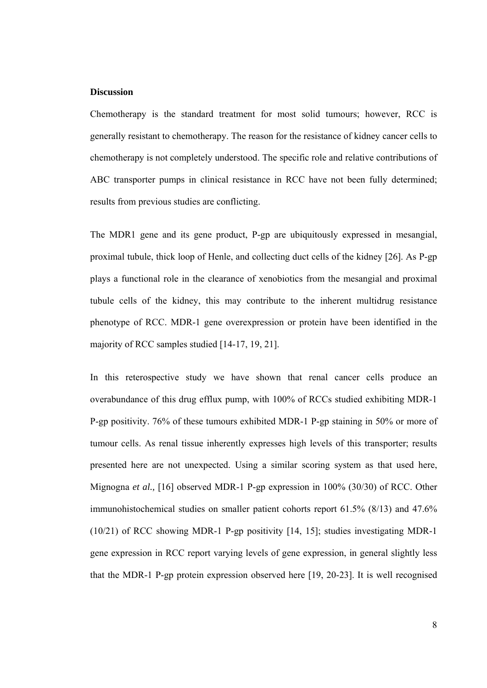## **Discussion**

Chemotherapy is the standard treatment for most solid tumours; however, RCC is generally resistant to chemotherapy. The reason for the resistance of kidney cancer cells to chemotherapy is not completely understood. The specific role and relative contributions of ABC transporter pumps in clinical resistance in RCC have not been fully determined; results from previous studies are conflicting.

The MDR1 gene and its gene product, P-gp are ubiquitously expressed in mesangial, proximal tubule, thick loop of Henle, and collecting duct cells of the kidney [26]. As P-gp plays a functional role in the clearance of xenobiotics from the mesangial and proximal tubule cells of the kidney, this may contribute to the inherent multidrug resistance phenotype of RCC. MDR-1 gene overexpression or protein have been identified in the majority of RCC samples studied [14-17, 19, 21].

In this reterospective study we have shown that renal cancer cells produce an overabundance of this drug efflux pump, with 100% of RCCs studied exhibiting MDR-1 P-gp positivity. 76% of these tumours exhibited MDR-1 P-gp staining in 50% or more of tumour cells. As renal tissue inherently expresses high levels of this transporter; results presented here are not unexpected. Using a similar scoring system as that used here, Mignogna *et al.,* [16] observed MDR-1 P-gp expression in 100% (30/30) of RCC. Other immunohistochemical studies on smaller patient cohorts report 61.5% (8/13) and 47.6% (10/21) of RCC showing MDR-1 P-gp positivity [14, 15]; studies investigating MDR-1 gene expression in RCC report varying levels of gene expression, in general slightly less that the MDR-1 P-gp protein expression observed here [19, 20-23]. It is well recognised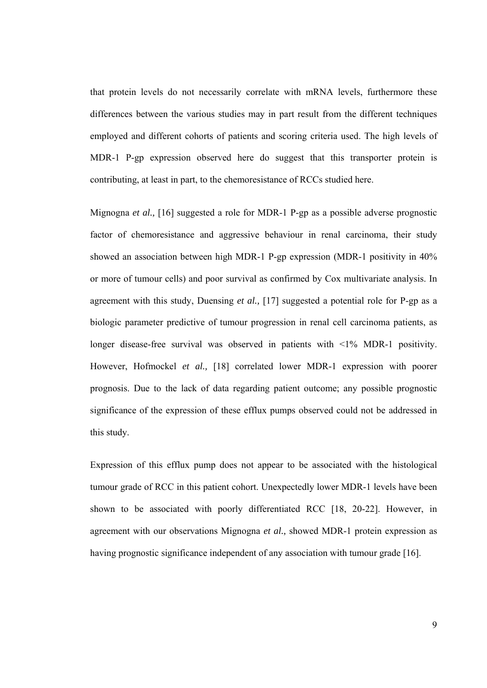that protein levels do not necessarily correlate with mRNA levels, furthermore these differences between the various studies may in part result from the different techniques employed and different cohorts of patients and scoring criteria used. The high levels of MDR-1 P-gp expression observed here do suggest that this transporter protein is contributing, at least in part, to the chemoresistance of RCCs studied here.

Mignogna *et al.,* [16] suggested a role for MDR-1 P-gp as a possible adverse prognostic factor of chemoresistance and aggressive behaviour in renal carcinoma, their study showed an association between high MDR-1 P-gp expression (MDR-1 positivity in 40% or more of tumour cells) and poor survival as confirmed by Cox multivariate analysis. In agreement with this study, Duensing *et al.,* [17] suggested a potential role for P-gp as a biologic parameter predictive of tumour progression in renal cell carcinoma patients, as longer disease-free survival was observed in patients with  $\leq 1\%$  MDR-1 positivity. However, Hofmockel *et al.,* [18] correlated lower MDR-1 expression with poorer prognosis. Due to the lack of data regarding patient outcome; any possible prognostic significance of the expression of these efflux pumps observed could not be addressed in this study.

Expression of this efflux pump does not appear to be associated with the histological tumour grade of RCC in this patient cohort. Unexpectedly lower MDR-1 levels have been shown to be associated with poorly differentiated RCC [18, 20-22]. However, in agreement with our observations Mignogna *et al.,* showed MDR-1 protein expression as having prognostic significance independent of any association with tumour grade [16].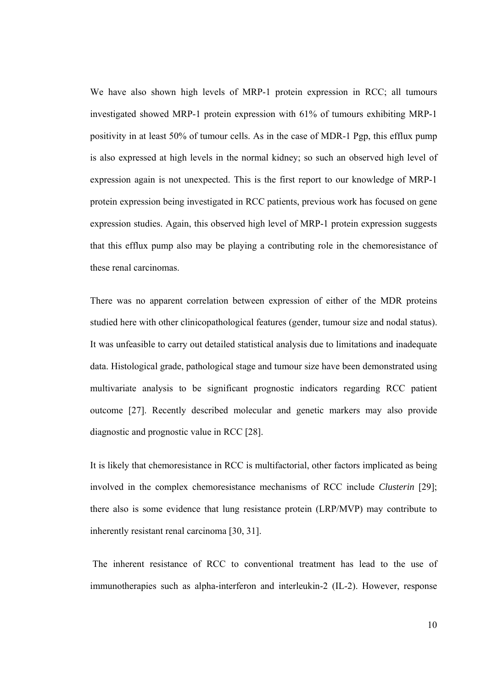We have also shown high levels of MRP-1 protein expression in RCC; all tumours investigated showed MRP-1 protein expression with 61% of tumours exhibiting MRP-1 positivity in at least 50% of tumour cells. As in the case of MDR-1 Pgp, this efflux pump is also expressed at high levels in the normal kidney; so such an observed high level of expression again is not unexpected. This is the first report to our knowledge of MRP-1 protein expression being investigated in RCC patients, previous work has focused on gene expression studies. Again, this observed high level of MRP-1 protein expression suggests that this efflux pump also may be playing a contributing role in the chemoresistance of these renal carcinomas.

There was no apparent correlation between expression of either of the MDR proteins studied here with other clinicopathological features (gender, tumour size and nodal status). It was unfeasible to carry out detailed statistical analysis due to limitations and inadequate data. Histological grade, pathological stage and tumour size have been demonstrated using multivariate analysis to be significant prognostic indicators regarding RCC patient outcome [27]. Recently described molecular and genetic markers may also provide diagnostic and prognostic value in RCC [28].

It is likely that chemoresistance in RCC is multifactorial, other factors implicated as being involved in the complex chemoresistance mechanisms of RCC include *Clusterin* [29]; there also is some evidence that lung resistance protein (LRP/MVP) may contribute to inherently resistant renal carcinoma [30, 31].

 The inherent resistance of RCC to conventional treatment has lead to the use of immunotherapies such as alpha-interferon and interleukin-2 (IL-2). However, response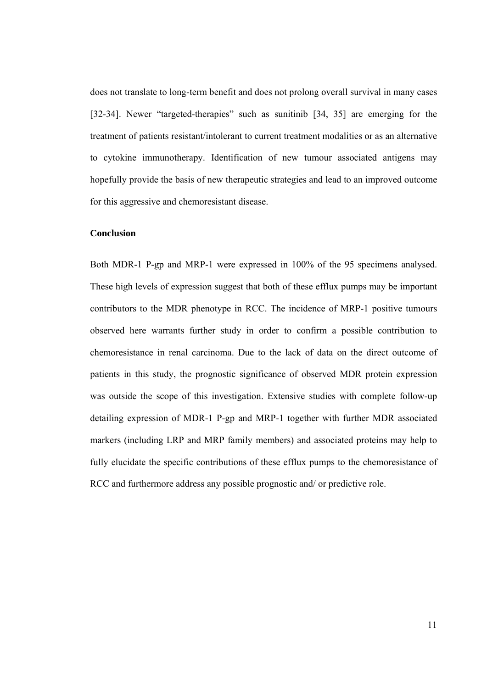does not translate to long-term benefit and does not prolong overall survival in many cases [32-34]. Newer "targeted-therapies" such as sunitinib [34, 35] are emerging for the treatment of patients resistant/intolerant to current treatment modalities or as an alternative to cytokine immunotherapy. Identification of new tumour associated antigens may hopefully provide the basis of new therapeutic strategies and lead to an improved outcome for this aggressive and chemoresistant disease.

## **Conclusion**

Both MDR-1 P-gp and MRP-1 were expressed in 100% of the 95 specimens analysed. These high levels of expression suggest that both of these efflux pumps may be important contributors to the MDR phenotype in RCC. The incidence of MRP-1 positive tumours observed here warrants further study in order to confirm a possible contribution to chemoresistance in renal carcinoma. Due to the lack of data on the direct outcome of patients in this study, the prognostic significance of observed MDR protein expression was outside the scope of this investigation. Extensive studies with complete follow-up detailing expression of MDR-1 P-gp and MRP-1 together with further MDR associated markers (including LRP and MRP family members) and associated proteins may help to fully elucidate the specific contributions of these efflux pumps to the chemoresistance of RCC and furthermore address any possible prognostic and/ or predictive role.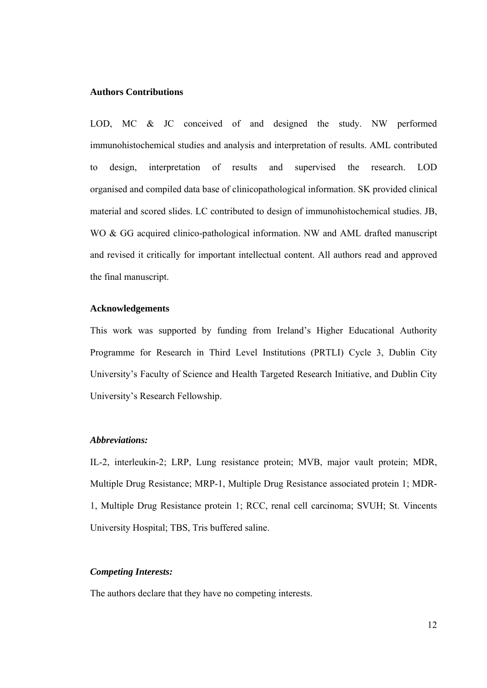#### **Authors Contributions**

LOD, MC & JC conceived of and designed the study. NW performed immunohistochemical studies and analysis and interpretation of results. AML contributed to design, interpretation of results and supervised the research. LOD organised and compiled data base of clinicopathological information. SK provided clinical material and scored slides. LC contributed to design of immunohistochemical studies. JB, WO & GG acquired clinico-pathological information. NW and AML drafted manuscript and revised it critically for important intellectual content. All authors read and approved the final manuscript.

# **Acknowledgements**

This work was supported by funding from Ireland's Higher Educational Authority Programme for Research in Third Level Institutions (PRTLI) Cycle 3, Dublin City University's Faculty of Science and Health Targeted Research Initiative, and Dublin City University's Research Fellowship.

## *Abbreviations:*

IL-2, interleukin-2; LRP, Lung resistance protein; MVB, major vault protein; MDR, Multiple Drug Resistance; MRP-1, Multiple Drug Resistance associated protein 1; MDR-1, Multiple Drug Resistance protein 1; RCC, renal cell carcinoma; SVUH; St. Vincents University Hospital; TBS, Tris buffered saline.

# *Competing Interests:*

The authors declare that they have no competing interests.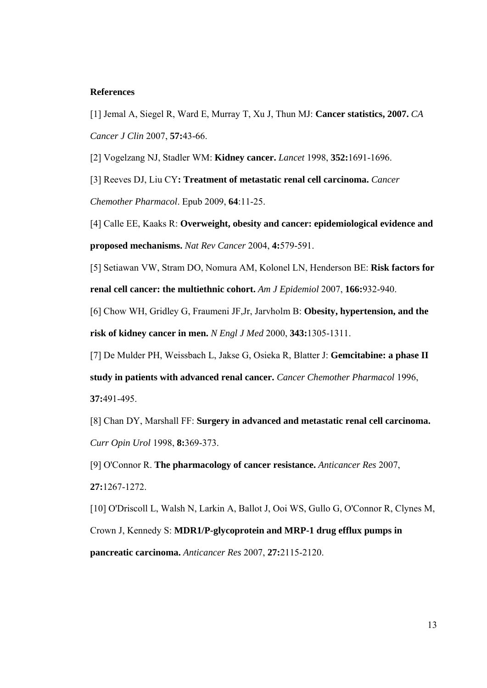#### **References**

[1] Jemal A, Siegel R, Ward E, Murray T, Xu J, Thun MJ: **Cancer statistics, 2007.** *CA Cancer J Clin* 2007, **57:**43-66.

[2] Vogelzang NJ, Stadler WM: **Kidney cancer.** *Lancet* 1998, **352:**1691-1696.

[3] Reeves DJ, Liu CY**: Treatment of metastatic renal cell carcinoma.** *Cancer Chemother Pharmacol*. Epub 2009, **64**:11-25.

[4] Calle EE, Kaaks R: **Overweight, obesity and cancer: epidemiological evidence and proposed mechanisms.** *Nat Rev Cancer* 2004, **4:**579-591.

[5] Setiawan VW, Stram DO, Nomura AM, Kolonel LN, Henderson BE: **Risk factors for renal cell cancer: the multiethnic cohort.** *Am J Epidemiol* 2007, **166:**932-940.

[6] Chow WH, Gridley G, Fraumeni JF,Jr, Jarvholm B: **Obesity, hypertension, and the risk of kidney cancer in men.** *N Engl J Med* 2000, **343:**1305-1311.

[7] De Mulder PH, Weissbach L, Jakse G, Osieka R, Blatter J: **Gemcitabine: a phase II** 

**study in patients with advanced renal cancer.** *Cancer Chemother Pharmacol* 1996, **37:**491-495.

[8] Chan DY, Marshall FF: **Surgery in advanced and metastatic renal cell carcinoma.** *Curr Opin Urol* 1998, **8:**369-373.

[9] O'Connor R. **The pharmacology of cancer resistance.** *Anticancer Res* 2007, **27:**1267-1272.

[10] O'Driscoll L, Walsh N, Larkin A, Ballot J, Ooi WS, Gullo G, O'Connor R, Clynes M,

Crown J, Kennedy S: **MDR1/P-glycoprotein and MRP-1 drug efflux pumps in pancreatic carcinoma.** *Anticancer Res* 2007, **27:**2115-2120.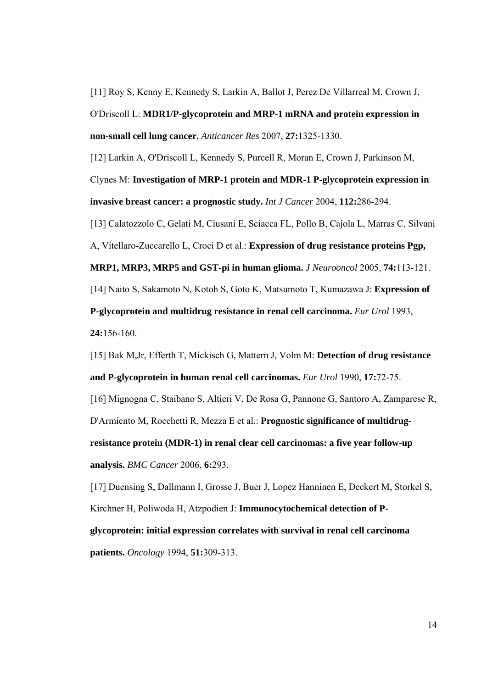[11] Roy S, Kenny E, Kennedy S, Larkin A, Ballot J, Perez De Villarreal M, Crown J, O'Driscoll L: **MDR1/P-glycoprotein and MRP-1 mRNA and protein expression in non-small cell lung cancer.** *Anticancer Res* 2007, **27:**1325-1330.

[12] Larkin A, O'Driscoll L, Kennedy S, Purcell R, Moran E, Crown J, Parkinson M, Clynes M: **Investigation of MRP-1 protein and MDR-1 P-glycoprotein expression in invasive breast cancer: a prognostic study.** *Int J Cancer* 2004, **112:**286-294.

[13] Calatozzolo C, Gelati M, Ciusani E, Sciacca FL, Pollo B, Cajola L, Marras C, Silvani

A, Vitellaro-Zuccarello L, Croci D et al.: **Expression of drug resistance proteins Pgp,** 

**MRP1, MRP3, MRP5 and GST-pi in human glioma.** *J Neurooncol* 2005, **74:**113-121.

[14] Naito S, Sakamoto N, Kotoh S, Goto K, Matsumoto T, Kumazawa J: **Expression of** 

**P-glycoprotein and multidrug resistance in renal cell carcinoma.** *Eur Urol* 1993,

**24:**156-160.

[15] Bak M,Jr, Efferth T, Mickisch G, Mattern J, Volm M: **Detection of drug resistance and P-glycoprotein in human renal cell carcinomas.** *Eur Urol* 1990, **17:**72-75.

[16] Mignogna C, Staibano S, Altieri V, De Rosa G, Pannone G, Santoro A, Zamparese R, D'Armiento M, Rocchetti R, Mezza E et al.: **Prognostic significance of multidrugresistance protein (MDR-1) in renal clear cell carcinomas: a five year follow-up analysis.** *BMC Cancer* 2006, **6:**293.

[17] Duensing S, Dallmann I, Grosse J, Buer J, Lopez Hanninen E, Deckert M, Storkel S, Kirchner H, Poliwoda H, Atzpodien J: **Immunocytochemical detection of Pglycoprotein: initial expression correlates with survival in renal cell carcinoma patients.** *Oncology* 1994, **51:**309-313.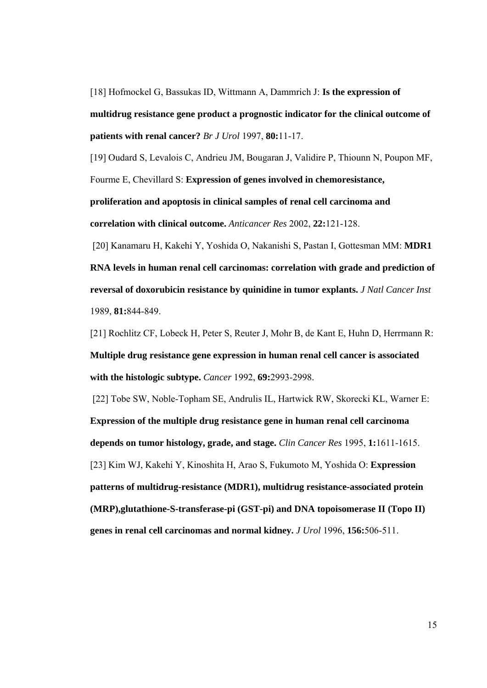[18] Hofmockel G, Bassukas ID, Wittmann A, Dammrich J: **Is the expression of multidrug resistance gene product a prognostic indicator for the clinical outcome of patients with renal cancer?** *Br J Urol* 1997, **80:**11-17.

[19] Oudard S, Levalois C, Andrieu JM, Bougaran J, Validire P, Thiounn N, Poupon MF, Fourme E, Chevillard S: **Expression of genes involved in chemoresistance, proliferation and apoptosis in clinical samples of renal cell carcinoma and** 

**correlation with clinical outcome.** *Anticancer Res* 2002, **22:**121-128.

 [20] Kanamaru H, Kakehi Y, Yoshida O, Nakanishi S, Pastan I, Gottesman MM: **MDR1 RNA levels in human renal cell carcinomas: correlation with grade and prediction of reversal of doxorubicin resistance by quinidine in tumor explants.** *J Natl Cancer Inst* 1989, **81:**844-849.

[21] Rochlitz CF, Lobeck H, Peter S, Reuter J, Mohr B, de Kant E, Huhn D, Herrmann R: **Multiple drug resistance gene expression in human renal cell cancer is associated with the histologic subtype.** *Cancer* 1992, **69:**2993-2998.

 [22] Tobe SW, Noble-Topham SE, Andrulis IL, Hartwick RW, Skorecki KL, Warner E: **Expression of the multiple drug resistance gene in human renal cell carcinoma depends on tumor histology, grade, and stage.** *Clin Cancer Res* 1995, **1:**1611-1615. [23] Kim WJ, Kakehi Y, Kinoshita H, Arao S, Fukumoto M, Yoshida O: **Expression patterns of multidrug-resistance (MDR1), multidrug resistance-associated protein (MRP),glutathione-S-transferase-pi (GST-pi) and DNA topoisomerase II (Topo II) genes in renal cell carcinomas and normal kidney.** *J Urol* 1996, **156:**506-511.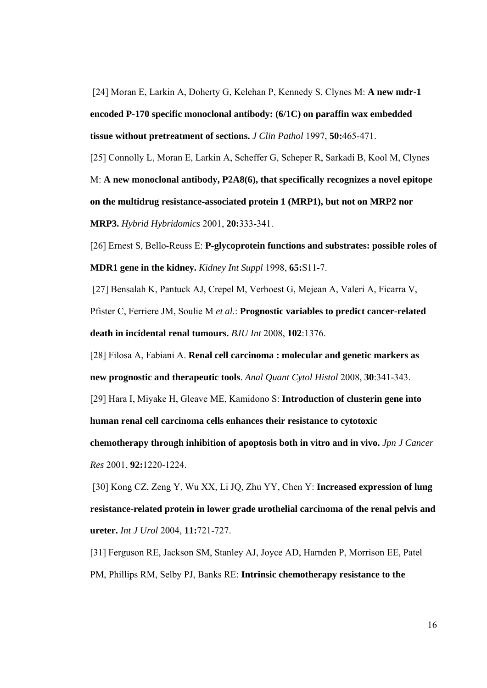[24] Moran E, Larkin A, Doherty G, Kelehan P, Kennedy S, Clynes M: **A new mdr-1 encoded P-170 specific monoclonal antibody: (6/1C) on paraffin wax embedded tissue without pretreatment of sections.** *J Clin Pathol* 1997, **50:**465-471.

[25] Connolly L, Moran E, Larkin A, Scheffer G, Scheper R, Sarkadi B, Kool M, Clynes M: **A new monoclonal antibody, P2A8(6), that specifically recognizes a novel epitope on the multidrug resistance-associated protein 1 (MRP1), but not on MRP2 nor MRP3.** *Hybrid Hybridomics* 2001, **20:**333-341.

[26] Ernest S, Bello-Reuss E: **P-glycoprotein functions and substrates: possible roles of MDR1 gene in the kidney.** *Kidney Int Suppl* 1998, **65:**S11-7.

[27] Bensalah K, Pantuck AJ, Crepel M, Verhoest G, Mejean A, Valeri A, Ficarra V,

Pfister C, Ferriere JM, Soulie M *et al*.: **Prognostic variables to predict cancer-related death in incidental renal tumours.** *BJU Int* 2008, **102**:1376.

[28] Filosa A, Fabiani A. **Renal cell carcinoma : molecular and genetic markers as new prognostic and therapeutic tools**. *Anal Quant Cytol Histol* 2008, **30**:341-343.

[29] Hara I, Miyake H, Gleave ME, Kamidono S: **Introduction of clusterin gene into** 

**human renal cell carcinoma cells enhances their resistance to cytotoxic** 

**chemotherapy through inhibition of apoptosis both in vitro and in vivo.** *Jpn J Cancer Res* 2001, **92:**1220-1224.

 [30] Kong CZ, Zeng Y, Wu XX, Li JQ, Zhu YY, Chen Y: **Increased expression of lung resistance-related protein in lower grade urothelial carcinoma of the renal pelvis and ureter.** *Int J Urol* 2004, **11:**721-727.

[31] Ferguson RE, Jackson SM, Stanley AJ, Joyce AD, Harnden P, Morrison EE, Patel PM, Phillips RM, Selby PJ, Banks RE: **Intrinsic chemotherapy resistance to the**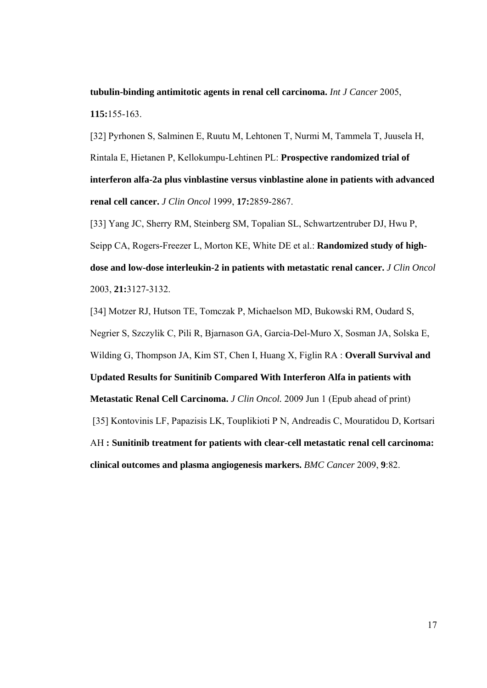**tubulin-binding antimitotic agents in renal cell carcinoma.** *Int J Cancer* 2005, **115:**155-163.

[32] Pyrhonen S, Salminen E, Ruutu M, Lehtonen T, Nurmi M, Tammela T, Juusela H, Rintala E, Hietanen P, Kellokumpu-Lehtinen PL: **Prospective randomized trial of interferon alfa-2a plus vinblastine versus vinblastine alone in patients with advanced renal cell cancer.** *J Clin Oncol* 1999, **17:**2859-2867.

[33] Yang JC, Sherry RM, Steinberg SM, Topalian SL, Schwartzentruber DJ, Hwu P, Seipp CA, Rogers-Freezer L, Morton KE, White DE et al.: **Randomized study of highdose and low-dose interleukin-2 in patients with metastatic renal cancer.** *J Clin Oncol* 2003, **21:**3127-3132.

[34] Motzer RJ, Hutson TE, Tomczak P, Michaelson MD, Bukowski RM, Oudard S, Negrier S, Szczylik C, Pili R, Bjarnason GA, Garcia-Del-Muro X, Sosman JA, Solska E, Wilding G, Thompson JA, Kim ST, Chen I, Huang X, Figlin RA : **Overall Survival and Updated Results for Sunitinib Compared With Interferon Alfa in patients with Metastatic Renal Cell Carcinoma.** *J Clin Oncol.* 2009 Jun 1 (Epub ahead of print) [35] Kontovinis LF, Papazisis LK, Touplikioti P N, Andreadis C, Mouratidou D, Kortsari AH **: Sunitinib treatment for patients with clear-cell metastatic renal cell carcinoma: clinical outcomes and plasma angiogenesis markers.** *BMC Cancer* 2009, **9**:82.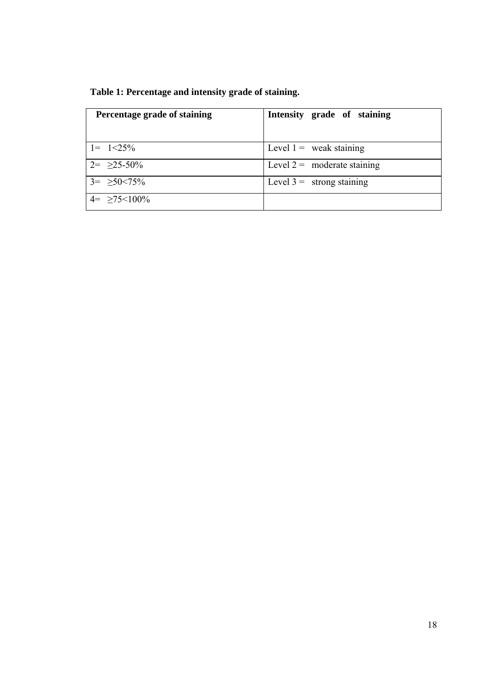| Percentage grade of staining | Intensity grade of staining   |
|------------------------------|-------------------------------|
| $1 = 1 < 25\%$               | Level $1 =$ weak staining     |
| $2 = 25 - 50\%$              | Level $2 =$ moderate staining |
| $3 = \geq 50 < 75\%$         | Level $3 =$ strong staining   |
| $4 = \ge 75 < 100\%$         |                               |

|  | Table 1: Percentage and intensity grade of staining. |  |  |
|--|------------------------------------------------------|--|--|
|  |                                                      |  |  |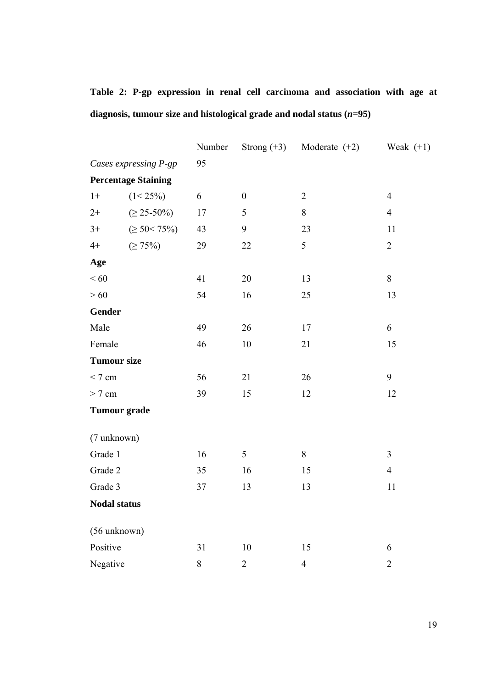**Table 2: P-gp expression in renal cell carcinoma and association with age at diagnosis, tumour size and histological grade and nodal status (***n***=95)** 

|                       |                            | Number | Strong $(+3)$    | Moderate $(+2)$ | Weak $(+1)$    |
|-----------------------|----------------------------|--------|------------------|-----------------|----------------|
| Cases expressing P-gp |                            | 95     |                  |                 |                |
|                       | <b>Percentage Staining</b> |        |                  |                 |                |
| $1+$                  | $(1 < 25\%)$               | 6      | $\boldsymbol{0}$ | $\overline{2}$  | $\overline{4}$ |
| $2+$                  | $( \ge 25 - 50\%)$         | 17     | 5                | $8\,$           | $\overline{4}$ |
| $3+$                  | $( \geq 50 < 75\%)$        | 43     | 9                | 23              | 11             |
| $4+$                  | $( \geq 75\%)$             | 29     | 22               | 5               | $\overline{2}$ |
| Age                   |                            |        |                  |                 |                |
| < 60                  |                            | 41     | 20               | 13              | 8              |
| >60                   |                            | 54     | 16               | 25              | 13             |
| <b>Gender</b>         |                            |        |                  |                 |                |
| Male                  |                            | 49     | 26               | 17              | 6              |
| Female                |                            | 46     | $10\,$           | 21              | 15             |
| <b>Tumour size</b>    |                            |        |                  |                 |                |
| < 7 cm                |                            | 56     | 21               | 26              | 9              |
| $> 7$ cm              |                            | 39     | 15               | 12              | 12             |
| <b>Tumour</b> grade   |                            |        |                  |                 |                |
|                       |                            |        |                  |                 |                |
| (7 unknown)           |                            |        |                  |                 |                |
| Grade 1               |                            | 16     | 5                | 8               | $\overline{3}$ |
| Grade 2               |                            | 35     | 16               | 15              | $\overline{4}$ |
| Grade 3               |                            | 37     | 13               | 13              | 11             |
| <b>Nodal status</b>   |                            |        |                  |                 |                |
|                       |                            |        |                  |                 |                |
| (56 unknown)          |                            |        |                  |                 |                |
| Positive              |                            | 31     | 10               | 15              | 6              |
| Negative              |                            | $8\,$  | $\overline{2}$   | $\overline{4}$  | $\overline{2}$ |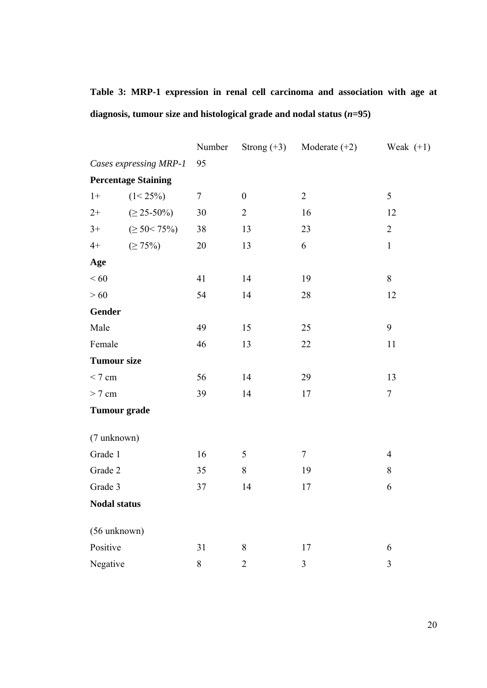|  |  |  |                                                                         | Table 3: MRP-1 expression in renal cell carcinoma and association with age at |  |  |
|--|--|--|-------------------------------------------------------------------------|-------------------------------------------------------------------------------|--|--|
|  |  |  | diagnosis, tumour size and histological grade and nodal status $(n=95)$ |                                                                               |  |  |

|                        |                            | Number         | Strong $(+3)$    | Moderate $(+2)$ | Weak $(+1)$      |  |
|------------------------|----------------------------|----------------|------------------|-----------------|------------------|--|
| Cases expressing MRP-1 |                            | 95             |                  |                 |                  |  |
|                        | <b>Percentage Staining</b> |                |                  |                 |                  |  |
| $1+$                   | $(1 < 25\%)$               | $\overline{7}$ | $\boldsymbol{0}$ | $\overline{2}$  | 5                |  |
| $2+$                   | $( \ge 25 - 50\%)$         | 30             | $\overline{2}$   | 16              | 12               |  |
| $3+$                   | $( \geq 50 < 75\%)$        | 38             | 13               | 23              | $\overline{2}$   |  |
| $4+$                   | $( \geq 75\%)$             | 20             | 13               | 6               | $\mathbf{1}$     |  |
| Age                    |                            |                |                  |                 |                  |  |
| < 60                   |                            | 41             | 14               | 19              | 8                |  |
| >60                    |                            | 54             | 14               | 28              | 12               |  |
| <b>Gender</b>          |                            |                |                  |                 |                  |  |
| Male                   |                            | 49             | 15               | 25              | 9                |  |
| Female                 |                            | 46             | 13               | 22              | $11\,$           |  |
| <b>Tumour size</b>     |                            |                |                  |                 |                  |  |
| < 7 cm                 |                            | 56             | 14               | 29              | 13               |  |
| $> 7$ cm               |                            | 39             | 14               | 17              | $\boldsymbol{7}$ |  |
| <b>Tumour grade</b>    |                            |                |                  |                 |                  |  |
|                        |                            |                |                  |                 |                  |  |
| (7 unknown)            |                            |                |                  |                 |                  |  |
| Grade 1                |                            | 16             | 5                | $\tau$          | $\overline{4}$   |  |
| Grade 2                |                            | 35             | 8                | 19              | 8                |  |
| Grade 3                |                            | 37             | 14               | 17              | 6                |  |
| <b>Nodal status</b>    |                            |                |                  |                 |                  |  |
| (56 unknown)           |                            |                |                  |                 |                  |  |
| Positive               |                            | 31             | $8\,$            | 17              | 6                |  |
| Negative               |                            | $8\,$          | $\overline{2}$   | $\overline{3}$  | $\overline{3}$   |  |